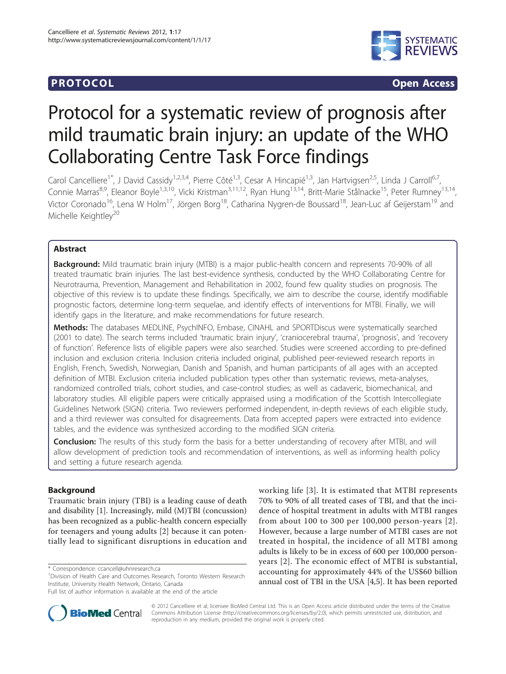# **PROTOCOL CONSUMING THE CONSUMING TEACHER CONSUMING THE CONSUMING TEACHER CONSUMING THE CONSUMING TEACHER CONSUMING THE CONSUMING TEACHER CONSUMING THE CONSUMING THE CONSUMING THE CONSUMING THE CONSUMING THE CONSUMING TH**



# Protocol for a systematic review of prognosis after mild traumatic brain injury: an update of the WHO Collaborating Centre Task Force findings

Carol Cancelliere<sup>1\*</sup>, J David Cassidy<sup>1,2,3,4</sup>, Pierre Côté<sup>1,3</sup>, Cesar A Hincapié<sup>1,3</sup>, Jan Hartvigsen<sup>2,5</sup>, Linda J Carroll<sup>6,7</sup>. Connie Marras<sup>8,9</sup>, Eleanor Boyle<sup>1,3,10</sup>, Vicki Kristman<sup>3,11,12</sup>, Ryan Hung<sup>13,14</sup>, Britt-Marie Stålnacke<sup>15</sup>, Peter Rumney<sup>13,14</sup>, Victor Coronado<sup>16</sup>, Lena W Holm<sup>17</sup>, Jörgen Borg<sup>18</sup>, Catharina Nygren-de Boussard<sup>18</sup>, Jean-Luc af Geijerstam<sup>19</sup> and Michelle Keightley<sup>20</sup>

# Abstract

**Background:** Mild traumatic brain injury (MTBI) is a major public-health concern and represents 70-90% of all treated traumatic brain injuries. The last best-evidence synthesis, conducted by the WHO Collaborating Centre for Neurotrauma, Prevention, Management and Rehabilitation in 2002, found few quality studies on prognosis. The objective of this review is to update these findings. Specifically, we aim to describe the course, identify modifiable prognostic factors, determine long-term sequelae, and identify effects of interventions for MTBI. Finally, we will identify gaps in the literature, and make recommendations for future research.

Methods: The databases MEDLINE, PsychINFO, Embase, CINAHL and SPORTDiscus were systematically searched (2001 to date). The search terms included 'traumatic brain injury', 'craniocerebral trauma', 'prognosis', and 'recovery of function'. Reference lists of eligible papers were also searched. Studies were screened according to pre-defined inclusion and exclusion criteria. Inclusion criteria included original, published peer-reviewed research reports in English, French, Swedish, Norwegian, Danish and Spanish, and human participants of all ages with an accepted definition of MTBI. Exclusion criteria included publication types other than systematic reviews, meta-analyses, randomized controlled trials, cohort studies, and case-control studies; as well as cadaveric, biomechanical, and laboratory studies. All eligible papers were critically appraised using a modification of the Scottish Intercollegiate Guidelines Network (SIGN) criteria. Two reviewers performed independent, in-depth reviews of each eligible study, and a third reviewer was consulted for disagreements. Data from accepted papers were extracted into evidence tables, and the evidence was synthesized according to the modified SIGN criteria.

**Conclusion:** The results of this study form the basis for a better understanding of recovery after MTBI, and will allow development of prediction tools and recommendation of interventions, as well as informing health policy and setting a future research agenda.

# Background

Traumatic brain injury (TBI) is a leading cause of death and disability [[1\]](#page-5-0). Increasingly, mild (M)TBI (concussion) has been recognized as a public-health concern especially for teenagers and young adults [[2\]](#page-5-0) because it can potentially lead to significant disruptions in education and

\* Correspondence: [ccancell@uhnresearch.ca](mailto:ccancell@uhnresearch.ca)

<sup>1</sup> Division of Health Care and Outcomes Research, Toronto Western Research Institute, University Health Network, Ontario, Canada

working life [[3](#page-5-0)]. It is estimated that MTBI represents 70% to 90% of all treated cases of TBI, and that the incidence of hospital treatment in adults with MTBI ranges from about 100 to 300 per 100,000 person-years [[2\]](#page-5-0). However, because a large number of MTBI cases are not treated in hospital, the incidence of all MTBI among adults is likely to be in excess of 600 per 100,000 personyears [[2](#page-5-0)]. The economic effect of MTBI is substantial, accounting for approximately 44% of the US\$60 billion annual cost of TBI in the USA [[4](#page-5-0),[5\]](#page-5-0). It has been reported



© 2012 Cancelliere et al; licensee BioMed Central Ltd. This is an Open Access article distributed under the terms of the Creative Commons Attribution License [\(http://creativecommons.org/licenses/by/2.0](http://creativecommons.org/licenses/by/2.0)), which permits unrestricted use, distribution, and reproduction in any medium, provided the original work is properly cited.

Full list of author information is available at the end of the article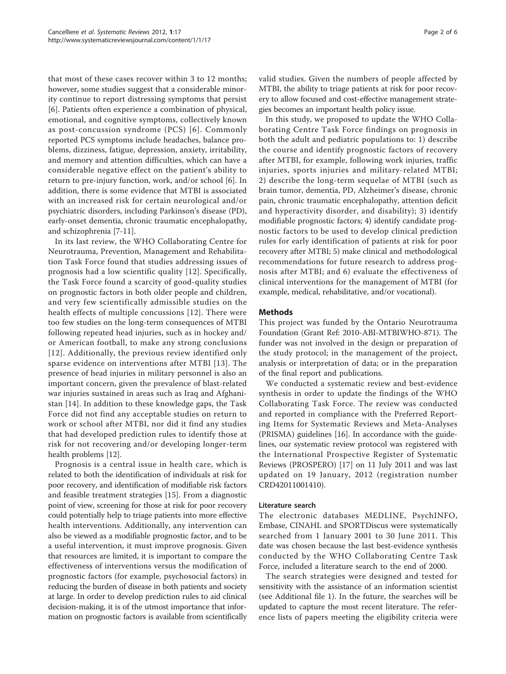that most of these cases recover within 3 to 12 months; however, some studies suggest that a considerable minority continue to report distressing symptoms that persist [[6\]](#page-5-0). Patients often experience a combination of physical, emotional, and cognitive symptoms, collectively known as post-concussion syndrome (PCS) [[6\]](#page-5-0). Commonly reported PCS symptoms include headaches, balance problems, dizziness, fatigue, depression, anxiety, irritability, and memory and attention difficulties, which can have a considerable negative effect on the patient's ability to return to pre-injury function, work, and/or school [[6\]](#page-5-0). In addition, there is some evidence that MTBI is associated with an increased risk for certain neurological and/or psychiatric disorders, including Parkinson's disease (PD), early-onset dementia, chronic traumatic encephalopathy, and schizophrenia [\[7](#page-5-0)-[11\]](#page-5-0).

In its last review, the WHO Collaborating Centre for Neurotrauma, Prevention, Management and Rehabilitation Task Force found that studies addressing issues of prognosis had a low scientific quality [[12\]](#page-5-0). Specifically, the Task Force found a scarcity of good-quality studies on prognostic factors in both older people and children, and very few scientifically admissible studies on the health effects of multiple concussions [[12\]](#page-5-0). There were too few studies on the long-term consequences of MTBI following repeated head injuries, such as in hockey and/ or American football, to make any strong conclusions [[12\]](#page-5-0). Additionally, the previous review identified only sparse evidence on interventions after MTBI [[13](#page-5-0)]. The presence of head injuries in military personnel is also an important concern, given the prevalence of blast-related war injuries sustained in areas such as Iraq and Afghanistan [[14](#page-5-0)]. In addition to these knowledge gaps, the Task Force did not find any acceptable studies on return to work or school after MTBI, nor did it find any studies that had developed prediction rules to identify those at risk for not recovering and/or developing longer-term health problems [\[12\]](#page-5-0).

Prognosis is a central issue in health care, which is related to both the identification of individuals at risk for poor recovery, and identification of modifiable risk factors and feasible treatment strategies [\[15](#page-5-0)]. From a diagnostic point of view, screening for those at risk for poor recovery could potentially help to triage patients into more effective health interventions. Additionally, any intervention can also be viewed as a modifiable prognostic factor, and to be a useful intervention, it must improve prognosis. Given that resources are limited, it is important to compare the effectiveness of interventions versus the modification of prognostic factors (for example, psychosocial factors) in reducing the burden of disease in both patients and society at large. In order to develop prediction rules to aid clinical decision-making, it is of the utmost importance that information on prognostic factors is available from scientifically valid studies. Given the numbers of people affected by MTBI, the ability to triage patients at risk for poor recovery to allow focused and cost-effective management strategies becomes an important health policy issue.

In this study, we proposed to update the WHO Collaborating Centre Task Force findings on prognosis in both the adult and pediatric populations to: 1) describe the course and identify prognostic factors of recovery after MTBI, for example, following work injuries, traffic injuries, sports injuries and military-related MTBI; 2) describe the long-term sequelae of MTBI (such as brain tumor, dementia, PD, Alzheimer's disease, chronic pain, chronic traumatic encephalopathy, attention deficit and hyperactivity disorder, and disability); 3) identify modifiable prognostic factors; 4) identify candidate prognostic factors to be used to develop clinical prediction rules for early identification of patients at risk for poor recovery after MTBI; 5) make clinical and methodological recommendations for future research to address prognosis after MTBI; and 6) evaluate the effectiveness of clinical interventions for the management of MTBI (for example, medical, rehabilitative, and/or vocational).

## Methods

This project was funded by the Ontario Neurotrauma Foundation (Grant Ref: 2010-ABI-MTBIWHO-871). The funder was not involved in the design or preparation of the study protocol; in the management of the project, analysis or interpretation of data; or in the preparation of the final report and publications.

We conducted a systematic review and best-evidence synthesis in order to update the findings of the WHO Collaborating Task Force. The review was conducted and reported in compliance with the Preferred Reporting Items for Systematic Reviews and Meta-Analyses (PRISMA) guidelines [\[16\]](#page-5-0). In accordance with the guidelines, our systematic review protocol was registered with the International Prospective Register of Systematic Reviews (PROSPERO) [[17](#page-5-0)] on 11 July 2011 and was last updated on 19 January, 2012 (registration number CRD42011001410).

## Literature search

The electronic databases MEDLINE, PsychINFO, Embase, CINAHL and SPORTDiscus were systematically searched from 1 January 2001 to 30 June 2011. This date was chosen because the last best-evidence synthesis conducted by the WHO Collaborating Centre Task Force, included a literature search to the end of 2000.

The search strategies were designed and tested for sensitivity with the assistance of an information scientist (see Additional file [1\)](#page-4-0). In the future, the searches will be updated to capture the most recent literature. The reference lists of papers meeting the eligibility criteria were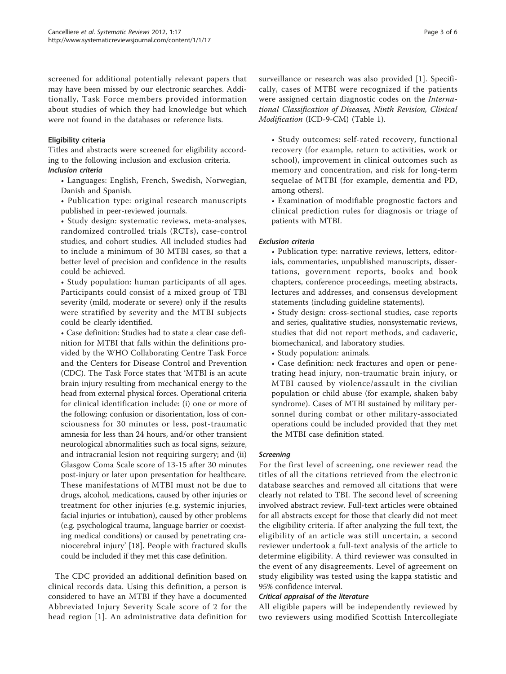screened for additional potentially relevant papers that may have been missed by our electronic searches. Additionally, Task Force members provided information about studies of which they had knowledge but which were not found in the databases or reference lists.

# Eligibility criteria

Titles and abstracts were screened for eligibility according to the following inclusion and exclusion criteria.

• Languages: English, French, Swedish, Norwegian, Danish and Spanish.

• Publication type: original research manuscripts published in peer-reviewed journals.

• Study design: systematic reviews, meta-analyses, randomized controlled trials (RCTs), case-control studies, and cohort studies. All included studies had to include a minimum of 30 MTBI cases, so that a better level of precision and confidence in the results could be achieved.

• Study population: human participants of all ages. Participants could consist of a mixed group of TBI severity (mild, moderate or severe) only if the results were stratified by severity and the MTBI subjects could be clearly identified.

• Case definition: Studies had to state a clear case definition for MTBI that falls within the definitions provided by the WHO Collaborating Centre Task Force and the Centers for Disease Control and Prevention (CDC). The Task Force states that 'MTBI is an acute brain injury resulting from mechanical energy to the head from external physical forces. Operational criteria for clinical identification include: (i) one or more of the following: confusion or disorientation, loss of consciousness for 30 minutes or less, post-traumatic amnesia for less than 24 hours, and/or other transient neurological abnormalities such as focal signs, seizure, and intracranial lesion not requiring surgery; and (ii) Glasgow Coma Scale score of 13-15 after 30 minutes post-injury or later upon presentation for healthcare. These manifestations of MTBI must not be due to drugs, alcohol, medications, caused by other injuries or treatment for other injuries (e.g. systemic injuries, facial injuries or intubation), caused by other problems (e.g. psychological trauma, language barrier or coexisting medical conditions) or caused by penetrating craniocerebral injury' [[18\]](#page-5-0). People with fractured skulls could be included if they met this case definition.

The CDC provided an additional definition based on clinical records data. Using this definition, a person is considered to have an MTBI if they have a documented Abbreviated Injury Severity Scale score of 2 for the head region [[1](#page-5-0)]. An administrative data definition for surveillance or research was also provided [[1\]](#page-5-0). Specifically, cases of MTBI were recognized if the patients were assigned certain diagnostic codes on the International Classification of Diseases, Ninth Revision, Clinical Modification (ICD-9-CM) (Table [1\)](#page-3-0).

• Study outcomes: self-rated recovery, functional recovery (for example, return to activities, work or school), improvement in clinical outcomes such as memory and concentration, and risk for long-term sequelae of MTBI (for example, dementia and PD, among others).

• Examination of modifiable prognostic factors and clinical prediction rules for diagnosis or triage of patients with MTBI.

## **Exclusion criteria**

• Publication type: narrative reviews, letters, editorials, commentaries, unpublished manuscripts, dissertations, government reports, books and book chapters, conference proceedings, meeting abstracts, lectures and addresses, and consensus development statements (including guideline statements).

• Study design: cross-sectional studies, case reports and series, qualitative studies, nonsystematic reviews, studies that did not report methods, and cadaveric, biomechanical, and laboratory studies.

• Study population: animals.

• Case definition: neck fractures and open or penetrating head injury, non-traumatic brain injury, or MTBI caused by violence/assault in the civilian population or child abuse (for example, shaken baby syndrome). Cases of MTBI sustained by military personnel during combat or other military-associated operations could be included provided that they met the MTBI case definition stated.

For the first level of screening, one reviewer read the titles of all the citations retrieved from the electronic database searches and removed all citations that were clearly not related to TBI. The second level of screening involved abstract review. Full-text articles were obtained for all abstracts except for those that clearly did not meet the eligibility criteria. If after analyzing the full text, the eligibility of an article was still uncertain, a second reviewer undertook a full-text analysis of the article to determine eligibility. A third reviewer was consulted in the event of any disagreements. Level of agreement on study eligibility was tested using the kappa statistic and 95% confidence interval.

Critical appraisal of the literature All eligible papers will be independently reviewed by two reviewers using modified Scottish Intercollegiate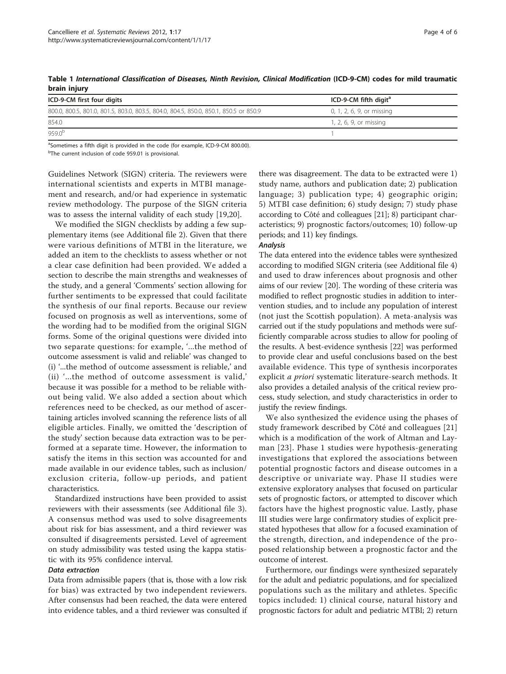| wiwiii ilijwi y                                                                      |                                   |  |
|--------------------------------------------------------------------------------------|-----------------------------------|--|
| ICD-9-CM first four digits                                                           | ICD-9-CM fifth digit <sup>a</sup> |  |
| 800.0, 800.5, 801.0, 801.5, 803.0, 803.5, 804.0, 804.5, 850.0, 850.1, 850.5 or 850.9 | 0, 1, 2, 6, 9, or missing         |  |
| 854.0                                                                                | 1, 2, 6, 9, or missing            |  |
| 959.0 <sup>b</sup>                                                                   |                                   |  |

<span id="page-3-0"></span>Table 1 International Classification of Diseases, Ninth Revision, Clinical Modification (ICD-9-CM) codes for mild traumatic brain injury

<sup>a</sup>Sometimes a fifth digit is provided in the code (for example, ICD-9-CM 800.00).

<sup>b</sup>The current inclusion of code 959.01 is provisional.

Guidelines Network (SIGN) criteria. The reviewers were international scientists and experts in MTBI management and research, and/or had experience in systematic review methodology. The purpose of the SIGN criteria was to assess the internal validity of each study [[19](#page-5-0),[20](#page-5-0)].

We modified the SIGN checklists by adding a few supplementary items (see Additional file [2](#page-4-0)). Given that there were various definitions of MTBI in the literature, we added an item to the checklists to assess whether or not a clear case definition had been provided. We added a section to describe the main strengths and weaknesses of the study, and a general 'Comments' section allowing for further sentiments to be expressed that could facilitate the synthesis of our final reports. Because our review focused on prognosis as well as interventions, some of the wording had to be modified from the original SIGN forms. Some of the original questions were divided into two separate questions: for example, '...the method of outcome assessment is valid and reliable' was changed to (i) '...the method of outcome assessment is reliable,' and (ii) '...the method of outcome assessment is valid,' because it was possible for a method to be reliable without being valid. We also added a section about which references need to be checked, as our method of ascertaining articles involved scanning the reference lists of all eligible articles. Finally, we omitted the 'description of the study' section because data extraction was to be performed at a separate time. However, the information to satisfy the items in this section was accounted for and made available in our evidence tables, such as inclusion/ exclusion criteria, follow-up periods, and patient characteristics.

Standardized instructions have been provided to assist reviewers with their assessments (see Additional file [3](#page-4-0)). A consensus method was used to solve disagreements about risk for bias assessment, and a third reviewer was consulted if disagreements persisted. Level of agreement on study admissibility was tested using the kappa statistic with its 95% confidence interval.

Data from admissible papers (that is, those with a low risk for bias) was extracted by two independent reviewers. After consensus had been reached, the data were entered into evidence tables, and a third reviewer was consulted if

there was disagreement. The data to be extracted were 1) study name, authors and publication date; 2) publication language; 3) publication type; 4) geographic origin; 5) MTBI case definition; 6) study design; 7) study phase according to Côté and colleagues [\[21\]](#page-5-0); 8) participant characteristics; 9) prognostic factors/outcomes; 10) follow-up periods; and 11) key findings.

The data entered into the evidence tables were synthesized according to modified SIGN criteria (see Additional file [4](#page-4-0)) and used to draw inferences about prognosis and other aims of our review [[20](#page-5-0)]. The wording of these criteria was modified to reflect prognostic studies in addition to intervention studies, and to include any population of interest (not just the Scottish population). A meta-analysis was carried out if the study populations and methods were sufficiently comparable across studies to allow for pooling of the results. A best-evidence synthesis [\[22](#page-5-0)] was performed to provide clear and useful conclusions based on the best available evidence. This type of synthesis incorporates explicit a priori systematic literature-search methods. It also provides a detailed analysis of the critical review process, study selection, and study characteristics in order to justify the review findings.

We also synthesized the evidence using the phases of study framework described by Côté and colleagues [\[21](#page-5-0)] which is a modification of the work of Altman and Layman [[23\]](#page-5-0). Phase 1 studies were hypothesis-generating investigations that explored the associations between potential prognostic factors and disease outcomes in a descriptive or univariate way. Phase II studies were extensive exploratory analyses that focused on particular sets of prognostic factors, or attempted to discover which factors have the highest prognostic value. Lastly, phase III studies were large confirmatory studies of explicit prestated hypotheses that allow for a focused examination of the strength, direction, and independence of the proposed relationship between a prognostic factor and the outcome of interest.

Furthermore, our findings were synthesized separately for the adult and pediatric populations, and for specialized populations such as the military and athletes. Specific topics included: 1) clinical course, natural history and prognostic factors for adult and pediatric MTBI; 2) return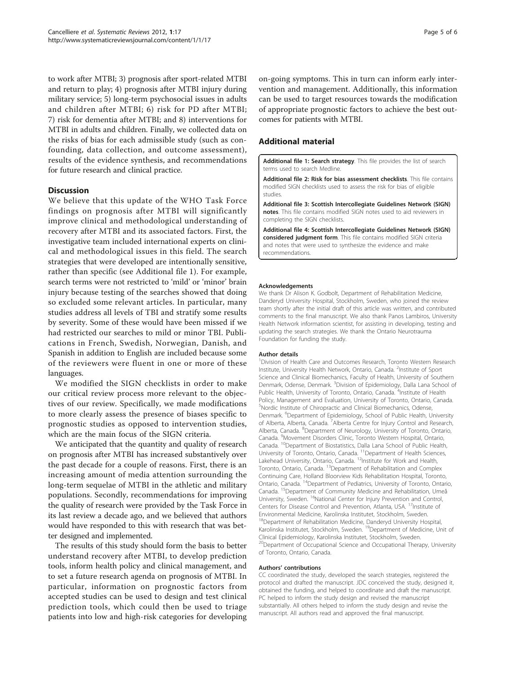<span id="page-4-0"></span>to work after MTBI; 3) prognosis after sport-related MTBI and return to play; 4) prognosis after MTBI injury during military service; 5) long-term psychosocial issues in adults and children after MTBI; 6) risk for PD after MTBI; 7) risk for dementia after MTBI; and 8) interventions for MTBI in adults and children. Finally, we collected data on the risks of bias for each admissible study (such as confounding, data collection, and outcome assessment), results of the evidence synthesis, and recommendations for future research and clinical practice.

# **Discussion**

We believe that this update of the WHO Task Force findings on prognosis after MTBI will significantly improve clinical and methodological understanding of recovery after MTBI and its associated factors. First, the investigative team included international experts on clinical and methodological issues in this field. The search strategies that were developed are intentionally sensitive, rather than specific (see Additional file 1). For example, search terms were not restricted to 'mild' or 'minor' brain injury because testing of the searches showed that doing so excluded some relevant articles. In particular, many studies address all levels of TBI and stratify some results by severity. Some of these would have been missed if we had restricted our searches to mild or minor TBI. Publications in French, Swedish, Norwegian, Danish, and Spanish in addition to English are included because some of the reviewers were fluent in one or more of these languages.

We modified the SIGN checklists in order to make our critical review process more relevant to the objectives of our review. Specifically, we made modifications to more clearly assess the presence of biases specific to prognostic studies as opposed to intervention studies, which are the main focus of the SIGN criteria.

We anticipated that the quantity and quality of research on prognosis after MTBI has increased substantively over the past decade for a couple of reasons. First, there is an increasing amount of media attention surrounding the long-term sequelae of MTBI in the athletic and military populations. Secondly, recommendations for improving the quality of research were provided by the Task Force in its last review a decade ago, and we believed that authors would have responded to this with research that was better designed and implemented.

The results of this study should form the basis to better understand recovery after MTBI, to develop prediction tools, inform health policy and clinical management, and to set a future research agenda on prognosis of MTBI. In particular, information on prognostic factors from accepted studies can be used to design and test clinical prediction tools, which could then be used to triage patients into low and high-risk categories for developing

on-going symptoms. This in turn can inform early intervention and management. Additionally, this information can be used to target resources towards the modification of appropriate prognostic factors to achieve the best outcomes for patients with MTBI.

# Additional material

[Additional file 1: S](http://www.biomedcentral.com/content/supplementary/2046-4053-1-17-S1.PDF)earch strategy. This file provides the list of search terms used to search Medline.

[Additional file 2: R](http://www.biomedcentral.com/content/supplementary/2046-4053-1-17-S2.PDF)isk for bias assessment checklists. This file contains modified SIGN checklists used to assess the risk for bias of eligible studies.

[Additional file 3: S](http://www.biomedcentral.com/content/supplementary/2046-4053-1-17-S3.PDF)cottish Intercollegiate Guidelines Network (SIGN) notes. This file contains modified SIGN notes used to aid reviewers in completing the SIGN checklists.

[Additional file 4: S](http://www.biomedcentral.com/content/supplementary/2046-4053-1-17-S4.PDF)cottish Intercollegiate Guidelines Network (SIGN) considered judgment form. This file contains modified SIGN criteria and notes that were used to synthesize the evidence and make recommendations.

### Acknowledgements

We thank Dr Alison K. Godbolt, Department of Rehabilitation Medicine, Danderyd University Hospital, Stockholm, Sweden, who joined the review team shortly after the initial draft of this article was written, and contributed comments to the final manuscript. We also thank Panos Lambiros, University Health Network information scientist, for assisting in developing, testing and updating the search strategies. We thank the Ontario Neurotrauma Foundation for funding the study.

### Author details

<sup>1</sup> Division of Health Care and Outcomes Research, Toronto Western Research Institute, University Health Network, Ontario, Canada. <sup>2</sup>Institute of Sport Science and Clinical Biomechanics, Faculty of Health, University of Southern Denmark, Odense, Denmark. <sup>3</sup>Division of Epidemiology, Dalla Lana School of Public Health, University of Toronto, Ontario, Canada. <sup>4</sup>Institute of Health Policy, Management and Evaluation, University of Toronto, Ontario, Canada. 5 Nordic Institute of Chiropractic and Clinical Biomechanics, Odense, Denmark. <sup>6</sup>Department of Epidemiology, School of Public Health, University of Alberta, Alberta, Canada. <sup>7</sup> Alberta Centre for Injury Control and Research, Alberta, Canada. <sup>8</sup>Department of Neurology, University of Toronto, Ontario, Canada. <sup>9</sup> Movement Disorders Clinic, Toronto Western Hospital, Ontario Canada. <sup>10</sup>Department of Biostatistics, Dalla Lana School of Public Health, University of Toronto, Ontario, Canada. <sup>11</sup>Department of Health Sciences, Lakehead University, Ontario, Canada. <sup>12</sup>Institute for Work and Health, Toronto, Ontario, Canada. 13Department of Rehabilitation and Complex Continuing Care, Holland Bloorview Kids Rehabilitation Hospital, Toronto, Ontario, Canada. 14Department of Pediatrics, University of Toronto, Ontario, Canada. 15Department of Community Medicine and Rehabilitation, Umeå University, Sweden. <sup>16</sup>National Center for Injury Prevention and Control, Centers for Disease Control and Prevention, Atlanta, USA. <sup>17</sup>Institute of Environmental Medicine, Karolinska Institutet, Stockholm, Sweden. <sup>18</sup>Department of Rehabilitation Medicine, Danderyd University Hospital, Karolinska Institutet, Stockholm, Sweden. <sup>19</sup>Department of Medicine, Unit of Clinical Epidemiology, Karolinska Institutet, Stockholm, Sweden. <sup>20</sup>Department of Occupational Science and Occupational Therapy, University of Toronto, Ontario, Canada.

### Authors' contributions

CC coordinated the study, developed the search strategies, registered the protocol and drafted the manuscript. JDC conceived the study, designed it, obtained the funding, and helped to coordinate and draft the manuscript. PC helped to inform the study design and revised the manuscript substantially. All others helped to inform the study design and revise the manuscript. All authors read and approved the final manuscript.